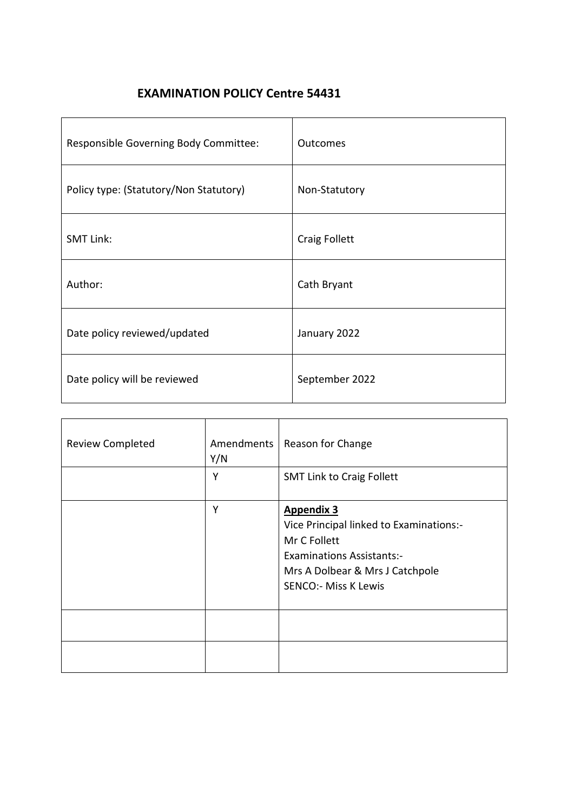# **EXAMINATION POLICY Centre 54431**

| Responsible Governing Body Committee:  | Outcomes             |
|----------------------------------------|----------------------|
| Policy type: (Statutory/Non Statutory) | Non-Statutory        |
| <b>SMT Link:</b>                       | <b>Craig Follett</b> |
| Author:                                | Cath Bryant          |
| Date policy reviewed/updated           | January 2022         |
| Date policy will be reviewed           | September 2022       |

| <b>Review Completed</b> | Amendments<br>Y/N | Reason for Change                                                                                                                                                                  |
|-------------------------|-------------------|------------------------------------------------------------------------------------------------------------------------------------------------------------------------------------|
|                         | Υ                 | <b>SMT Link to Craig Follett</b>                                                                                                                                                   |
|                         | Υ                 | <b>Appendix 3</b><br>Vice Principal linked to Examinations:-<br>Mr C Follett<br><b>Examinations Assistants:-</b><br>Mrs A Dolbear & Mrs J Catchpole<br><b>SENCO:- Miss K Lewis</b> |
|                         |                   |                                                                                                                                                                                    |
|                         |                   |                                                                                                                                                                                    |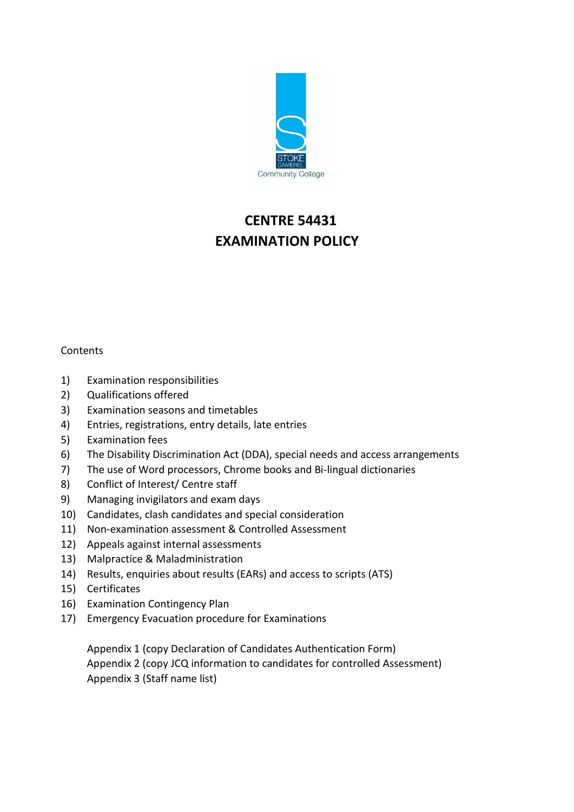

# **CENTRE 54431 EXAMINATION POLICY**

## **Contents**

- 1) Examination responsibilities
- 2) Qualifications offered
- 3) Examination seasons and timetables
- 4) Entries, registrations, entry details, late entries
- 5) Examination fees
- 6) The Disability Discrimination Act (DDA), special needs and access arrangements
- 7) The use of Word processors, Chrome books and Bi-lingual dictionaries
- 8) Conflict of Interest/ Centre staff
- 9) Managing invigilators and exam days
- 10) Candidates, clash candidates and special consideration
- 11) Non-examination assessment & Controlled Assessment
- 12) Appeals against internal assessments
- 13) Malpractice & Maladministration
- 14) Results, enquiries about results (EARs) and access to scripts (ATS)
- 15) Certificates
- 16) Examination Contingency Plan
- 17) Emergency Evacuation procedure for Examinations

Appendix 1 (copy Declaration of Candidates Authentication Form) Appendix 2 (copy JCQ information to candidates for controlled Assessment) Appendix 3 (Staff name list)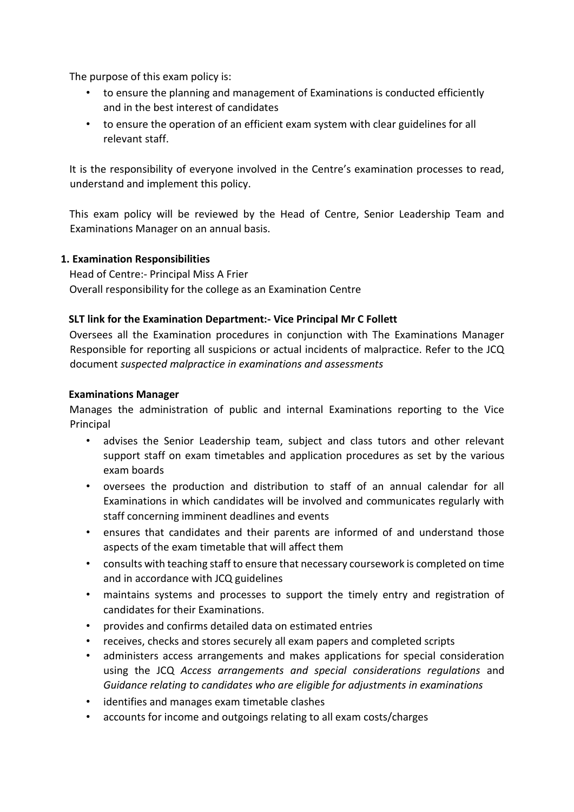The purpose of this exam policy is:

- to ensure the planning and management of Examinations is conducted efficiently and in the best interest of candidates
- to ensure the operation of an efficient exam system with clear guidelines for all relevant staff.

It is the responsibility of everyone involved in the Centre's examination processes to read, understand and implement this policy.

This exam policy will be reviewed by the Head of Centre, Senior Leadership Team and Examinations Manager on an annual basis.

#### **1. Examination Responsibilities**

Head of Centre:- Principal Miss A Frier Overall responsibility for the college as an Examination Centre

## **SLT link for the Examination Department:- Vice Principal Mr C Follett**

Oversees all the Examination procedures in conjunction with The Examinations Manager Responsible for reporting all suspicions or actual incidents of malpractice. Refer to the JCQ document *suspected malpractice in examinations and assessments* 

#### **Examinations Manager**

Manages the administration of public and internal Examinations reporting to the Vice Principal

- advises the Senior Leadership team, subject and class tutors and other relevant support staff on exam timetables and application procedures as set by the various exam boards
- oversees the production and distribution to staff of an annual calendar for all Examinations in which candidates will be involved and communicates regularly with staff concerning imminent deadlines and events
- ensures that candidates and their parents are informed of and understand those aspects of the exam timetable that will affect them
- consults with teaching staff to ensure that necessary coursework is completed on time and in accordance with JCQ guidelines
- maintains systems and processes to support the timely entry and registration of candidates for their Examinations.
- provides and confirms detailed data on estimated entries
- receives, checks and stores securely all exam papers and completed scripts
- administers access arrangements and makes applications for special consideration using the JCQ *Access arrangements and special considerations regulations* and *Guidance relating to candidates who are eligible for adjustments in examinations*
- identifies and manages exam timetable clashes
- accounts for income and outgoings relating to all exam costs/charges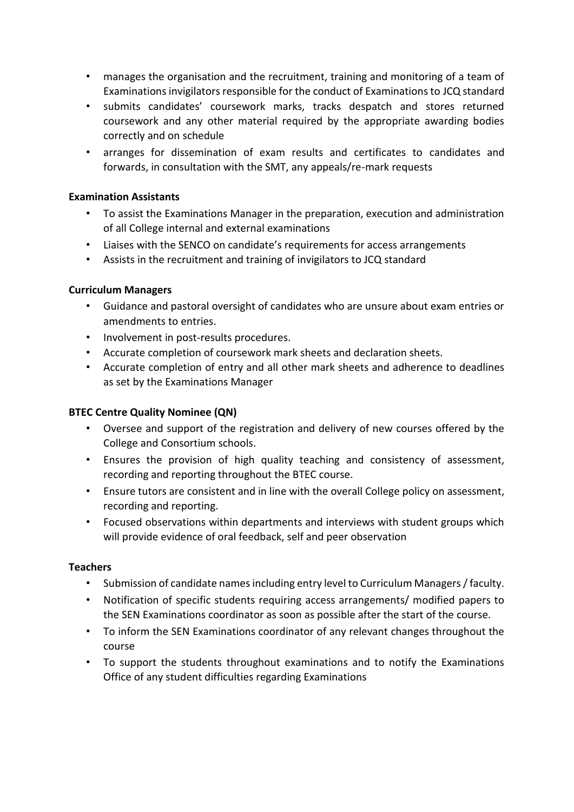- manages the organisation and the recruitment, training and monitoring of a team of Examinations invigilators responsible for the conduct of Examinations to JCQ standard
- submits candidates' coursework marks, tracks despatch and stores returned coursework and any other material required by the appropriate awarding bodies correctly and on schedule
- arranges for dissemination of exam results and certificates to candidates and forwards, in consultation with the SMT, any appeals/re-mark requests

## **Examination Assistants**

- To assist the Examinations Manager in the preparation, execution and administration of all College internal and external examinations
- Liaises with the SENCO on candidate's requirements for access arrangements
- Assists in the recruitment and training of invigilators to JCQ standard

#### **Curriculum Managers**

- Guidance and pastoral oversight of candidates who are unsure about exam entries or amendments to entries.
- Involvement in post-results procedures.
- Accurate completion of coursework mark sheets and declaration sheets.
- Accurate completion of entry and all other mark sheets and adherence to deadlines as set by the Examinations Manager

#### **BTEC Centre Quality Nominee (QN)**

- Oversee and support of the registration and delivery of new courses offered by the College and Consortium schools.
- Ensures the provision of high quality teaching and consistency of assessment, recording and reporting throughout the BTEC course.
- Ensure tutors are consistent and in line with the overall College policy on assessment, recording and reporting.
- Focused observations within departments and interviews with student groups which will provide evidence of oral feedback, self and peer observation

#### **Teachers**

- Submission of candidate names including entry level to Curriculum Managers / faculty.
- Notification of specific students requiring access arrangements/ modified papers to the SEN Examinations coordinator as soon as possible after the start of the course.
- To inform the SEN Examinations coordinator of any relevant changes throughout the course
- To support the students throughout examinations and to notify the Examinations Office of any student difficulties regarding Examinations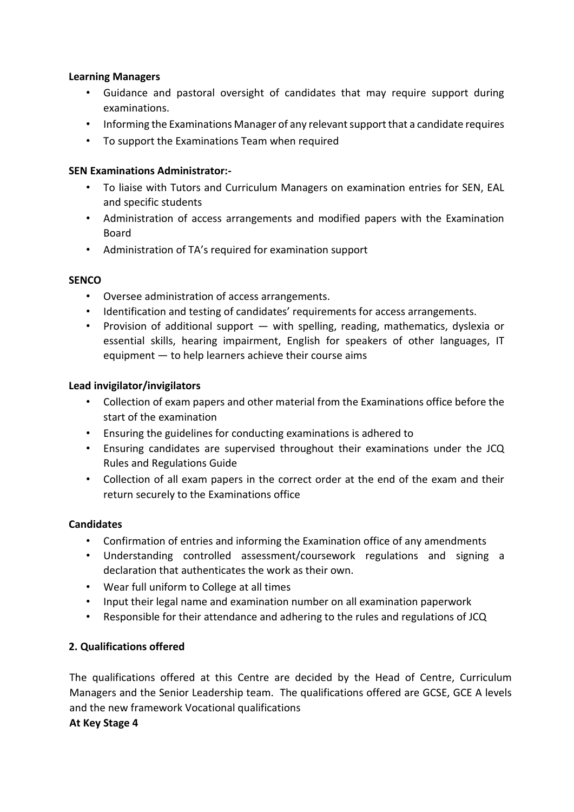#### **Learning Managers**

- Guidance and pastoral oversight of candidates that may require support during examinations.
- Informing the Examinations Manager of any relevant support that a candidate requires
- To support the Examinations Team when required

## **SEN Examinations Administrator:-**

- To liaise with Tutors and Curriculum Managers on examination entries for SEN, EAL and specific students
- Administration of access arrangements and modified papers with the Examination Board
- Administration of TA's required for examination support

## **SENCO**

- Oversee administration of access arrangements.
- Identification and testing of candidates' requirements for access arrangements.
- Provision of additional support with spelling, reading, mathematics, dyslexia or essential skills, hearing impairment, English for speakers of other languages, IT equipment — to help learners achieve their course aims

## **Lead invigilator/invigilators**

- Collection of exam papers and other material from the Examinations office before the start of the examination
- Ensuring the guidelines for conducting examinations is adhered to
- Ensuring candidates are supervised throughout their examinations under the JCQ Rules and Regulations Guide
- Collection of all exam papers in the correct order at the end of the exam and their return securely to the Examinations office

#### **Candidates**

- Confirmation of entries and informing the Examination office of any amendments
- Understanding controlled assessment/coursework regulations and signing a declaration that authenticates the work as their own.
- Wear full uniform to College at all times
- Input their legal name and examination number on all examination paperwork
- Responsible for their attendance and adhering to the rules and regulations of JCQ

## **2. Qualifications offered**

The qualifications offered at this Centre are decided by the Head of Centre, Curriculum Managers and the Senior Leadership team. The qualifications offered are GCSE, GCE A levels and the new framework Vocational qualifications

## **At Key Stage 4**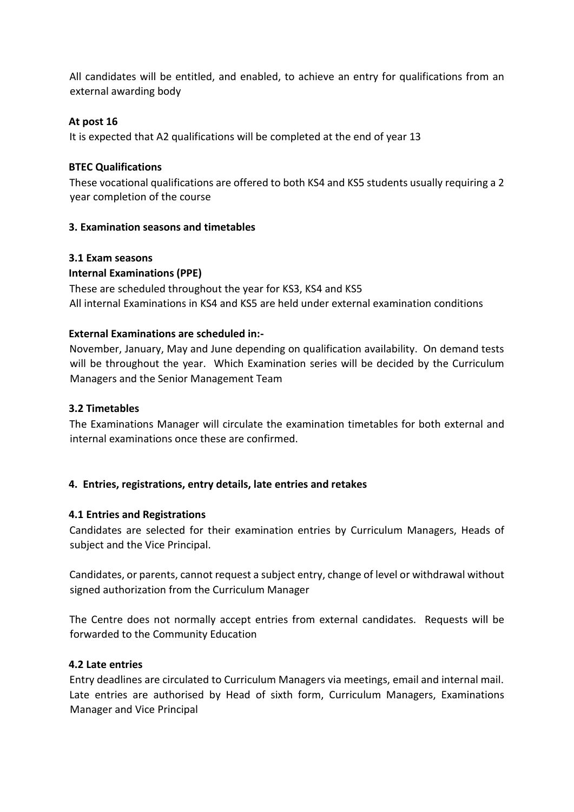All candidates will be entitled, and enabled, to achieve an entry for qualifications from an external awarding body

## **At post 16**

It is expected that A2 qualifications will be completed at the end of year 13

#### **BTEC Qualifications**

These vocational qualifications are offered to both KS4 and KS5 students usually requiring a 2 year completion of the course

## **3. Examination seasons and timetables**

#### **3.1 Exam seasons**

## **Internal Examinations (PPE)**

These are scheduled throughout the year for KS3, KS4 and KS5 All internal Examinations in KS4 and KS5 are held under external examination conditions

#### **External Examinations are scheduled in:-**

November, January, May and June depending on qualification availability. On demand tests will be throughout the year. Which Examination series will be decided by the Curriculum Managers and the Senior Management Team

#### **3.2 Timetables**

The Examinations Manager will circulate the examination timetables for both external and internal examinations once these are confirmed.

#### **4. Entries, registrations, entry details, late entries and retakes**

#### **4.1 Entries and Registrations**

Candidates are selected for their examination entries by Curriculum Managers, Heads of subject and the Vice Principal.

Candidates, or parents, cannot request a subject entry, change of level or withdrawal without signed authorization from the Curriculum Manager

The Centre does not normally accept entries from external candidates. Requests will be forwarded to the Community Education

#### **4.2 Late entries**

Entry deadlines are circulated to Curriculum Managers via meetings, email and internal mail. Late entries are authorised by Head of sixth form, Curriculum Managers, Examinations Manager and Vice Principal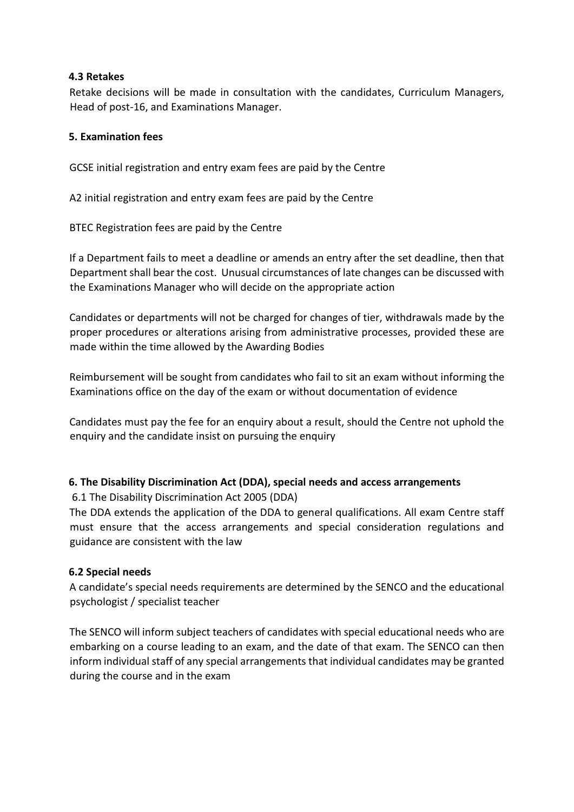## **4.3 Retakes**

Retake decisions will be made in consultation with the candidates, Curriculum Managers, Head of post-16, and Examinations Manager.

## **5. Examination fees**

GCSE initial registration and entry exam fees are paid by the Centre

A2 initial registration and entry exam fees are paid by the Centre

BTEC Registration fees are paid by the Centre

If a Department fails to meet a deadline or amends an entry after the set deadline, then that Department shall bear the cost. Unusual circumstances of late changes can be discussed with the Examinations Manager who will decide on the appropriate action

Candidates or departments will not be charged for changes of tier, withdrawals made by the proper procedures or alterations arising from administrative processes, provided these are made within the time allowed by the Awarding Bodies

Reimbursement will be sought from candidates who fail to sit an exam without informing the Examinations office on the day of the exam or without documentation of evidence

Candidates must pay the fee for an enquiry about a result, should the Centre not uphold the enquiry and the candidate insist on pursuing the enquiry

## **6. The Disability Discrimination Act (DDA), special needs and access arrangements**

6.1 The Disability Discrimination Act 2005 (DDA)

The DDA extends the application of the DDA to general qualifications. All exam Centre staff must ensure that the access arrangements and special consideration regulations and guidance are consistent with the law

#### **6.2 Special needs**

A candidate's special needs requirements are determined by the SENCO and the educational psychologist / specialist teacher

The SENCO will inform subject teachers of candidates with special educational needs who are embarking on a course leading to an exam, and the date of that exam. The SENCO can then inform individual staff of any special arrangements that individual candidates may be granted during the course and in the exam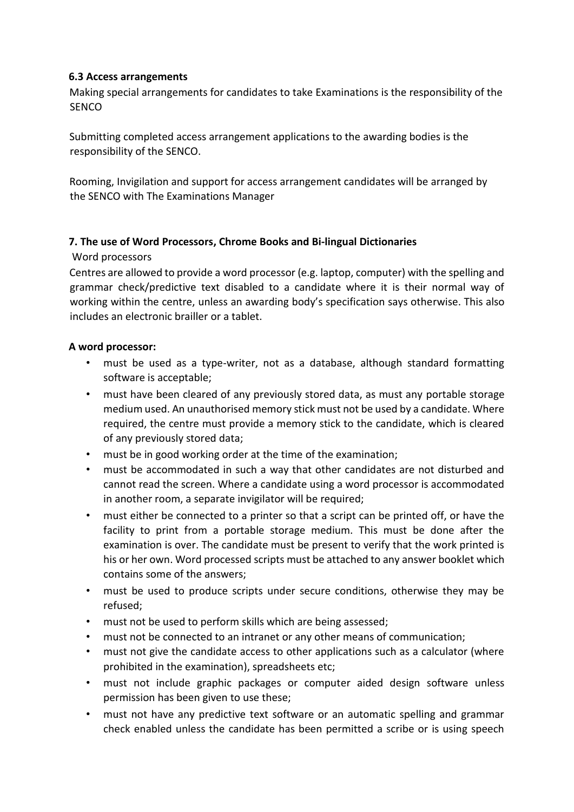## **6.3 Access arrangements**

Making special arrangements for candidates to take Examinations is the responsibility of the **SENCO** 

Submitting completed access arrangement applications to the awarding bodies is the responsibility of the SENCO.

Rooming, Invigilation and support for access arrangement candidates will be arranged by the SENCO with The Examinations Manager

## **7. The use of Word Processors, Chrome Books and Bi-lingual Dictionaries**

## Word processors

Centres are allowed to provide a word processor (e.g. laptop, computer) with the spelling and grammar check/predictive text disabled to a candidate where it is their normal way of working within the centre, unless an awarding body's specification says otherwise. This also includes an electronic brailler or a tablet.

## **A word processor:**

- must be used as a type-writer, not as a database, although standard formatting software is acceptable;
- must have been cleared of any previously stored data, as must any portable storage medium used. An unauthorised memory stick must not be used by a candidate. Where required, the centre must provide a memory stick to the candidate, which is cleared of any previously stored data;
- must be in good working order at the time of the examination;
- must be accommodated in such a way that other candidates are not disturbed and cannot read the screen. Where a candidate using a word processor is accommodated in another room, a separate invigilator will be required;
- must either be connected to a printer so that a script can be printed off, or have the facility to print from a portable storage medium. This must be done after the examination is over. The candidate must be present to verify that the work printed is his or her own. Word processed scripts must be attached to any answer booklet which contains some of the answers;
- must be used to produce scripts under secure conditions, otherwise they may be refused;
- must not be used to perform skills which are being assessed;
- must not be connected to an intranet or any other means of communication;
- must not give the candidate access to other applications such as a calculator (where prohibited in the examination), spreadsheets etc;
- must not include graphic packages or computer aided design software unless permission has been given to use these;
- must not have any predictive text software or an automatic spelling and grammar check enabled unless the candidate has been permitted a scribe or is using speech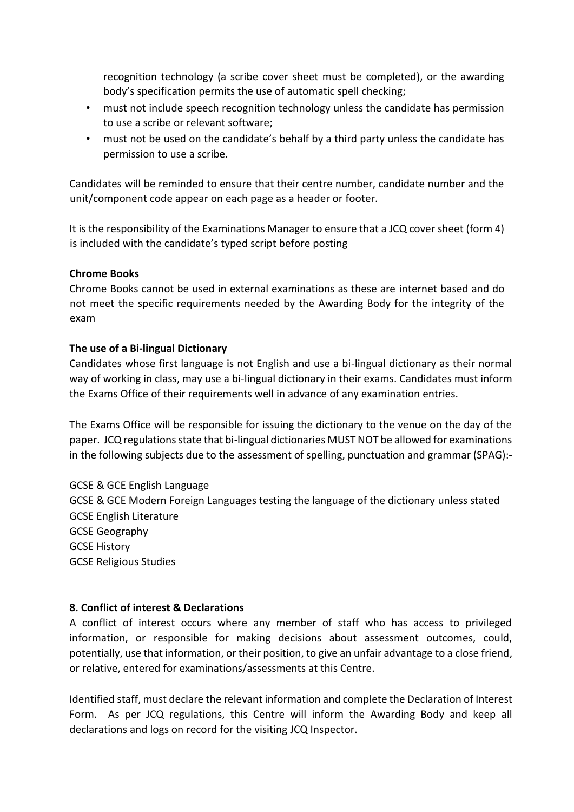recognition technology (a scribe cover sheet must be completed), or the awarding body's specification permits the use of automatic spell checking;

- must not include speech recognition technology unless the candidate has permission to use a scribe or relevant software;
- must not be used on the candidate's behalf by a third party unless the candidate has permission to use a scribe.

Candidates will be reminded to ensure that their centre number, candidate number and the unit/component code appear on each page as a header or footer.

It is the responsibility of the Examinations Manager to ensure that a JCQ cover sheet (form 4) is included with the candidate's typed script before posting

## **Chrome Books**

Chrome Books cannot be used in external examinations as these are internet based and do not meet the specific requirements needed by the Awarding Body for the integrity of the exam

## **The use of a Bi-lingual Dictionary**

Candidates whose first language is not English and use a bi-lingual dictionary as their normal way of working in class, may use a bi-lingual dictionary in their exams. Candidates must inform the Exams Office of their requirements well in advance of any examination entries.

The Exams Office will be responsible for issuing the dictionary to the venue on the day of the paper. JCQ regulations state that bi-lingual dictionaries MUST NOT be allowed for examinations in the following subjects due to the assessment of spelling, punctuation and grammar (SPAG):-

GCSE & GCE English Language GCSE & GCE Modern Foreign Languages testing the language of the dictionary unless stated GCSE English Literature GCSE Geography GCSE History GCSE Religious Studies

## **8. Conflict of interest & Declarations**

A conflict of interest occurs where any member of staff who has access to privileged information, or responsible for making decisions about assessment outcomes, could, potentially, use that information, or their position, to give an unfair advantage to a close friend, or relative, entered for examinations/assessments at this Centre.

Identified staff, must declare the relevant information and complete the Declaration of Interest Form. As per JCQ regulations, this Centre will inform the Awarding Body and keep all declarations and logs on record for the visiting JCQ Inspector.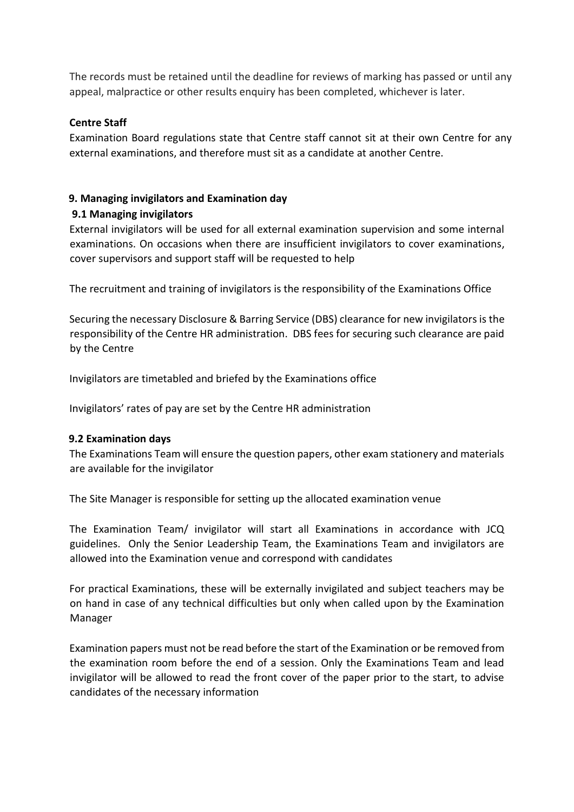The records must be retained until the deadline for reviews of marking has passed or until any appeal, malpractice or other results enquiry has been completed, whichever is later.

## **Centre Staff**

Examination Board regulations state that Centre staff cannot sit at their own Centre for any external examinations, and therefore must sit as a candidate at another Centre.

## **9. Managing invigilators and Examination day**

## **9.1 Managing invigilators**

External invigilators will be used for all external examination supervision and some internal examinations. On occasions when there are insufficient invigilators to cover examinations, cover supervisors and support staff will be requested to help

The recruitment and training of invigilators is the responsibility of the Examinations Office

Securing the necessary Disclosure & Barring Service (DBS) clearance for new invigilators is the responsibility of the Centre HR administration. DBS fees for securing such clearance are paid by the Centre

Invigilators are timetabled and briefed by the Examinations office

Invigilators' rates of pay are set by the Centre HR administration

## **9.2 Examination days**

The Examinations Team will ensure the question papers, other exam stationery and materials are available for the invigilator

The Site Manager is responsible for setting up the allocated examination venue

The Examination Team/ invigilator will start all Examinations in accordance with JCQ guidelines. Only the Senior Leadership Team, the Examinations Team and invigilators are allowed into the Examination venue and correspond with candidates

For practical Examinations, these will be externally invigilated and subject teachers may be on hand in case of any technical difficulties but only when called upon by the Examination Manager

Examination papers must not be read before the start of the Examination or be removed from the examination room before the end of a session. Only the Examinations Team and lead invigilator will be allowed to read the front cover of the paper prior to the start, to advise candidates of the necessary information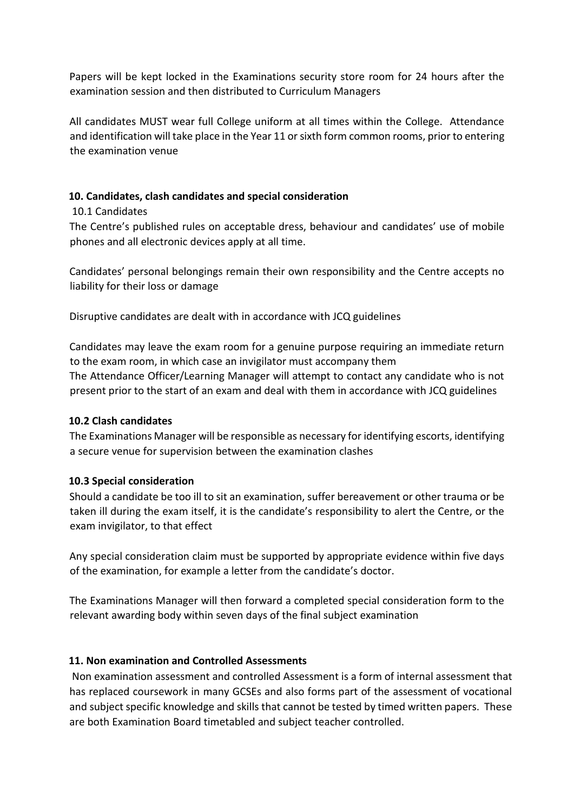Papers will be kept locked in the Examinations security store room for 24 hours after the examination session and then distributed to Curriculum Managers

All candidates MUST wear full College uniform at all times within the College. Attendance and identification will take place in the Year 11 or sixth form common rooms, prior to entering the examination venue

## **10. Candidates, clash candidates and special consideration**

## 10.1 Candidates

The Centre's published rules on acceptable dress, behaviour and candidates' use of mobile phones and all electronic devices apply at all time.

Candidates' personal belongings remain their own responsibility and the Centre accepts no liability for their loss or damage

Disruptive candidates are dealt with in accordance with JCQ guidelines

Candidates may leave the exam room for a genuine purpose requiring an immediate return to the exam room, in which case an invigilator must accompany them The Attendance Officer/Learning Manager will attempt to contact any candidate who is not present prior to the start of an exam and deal with them in accordance with JCQ guidelines

## **10.2 Clash candidates**

The Examinations Manager will be responsible as necessary for identifying escorts, identifying a secure venue for supervision between the examination clashes

## **10.3 Special consideration**

Should a candidate be too ill to sit an examination, suffer bereavement or other trauma or be taken ill during the exam itself, it is the candidate's responsibility to alert the Centre, or the exam invigilator, to that effect

Any special consideration claim must be supported by appropriate evidence within five days of the examination, for example a letter from the candidate's doctor.

The Examinations Manager will then forward a completed special consideration form to the relevant awarding body within seven days of the final subject examination

## **11. Non examination and Controlled Assessments**

Non examination assessment and controlled Assessment is a form of internal assessment that has replaced coursework in many GCSEs and also forms part of the assessment of vocational and subject specific knowledge and skills that cannot be tested by timed written papers. These are both Examination Board timetabled and subject teacher controlled.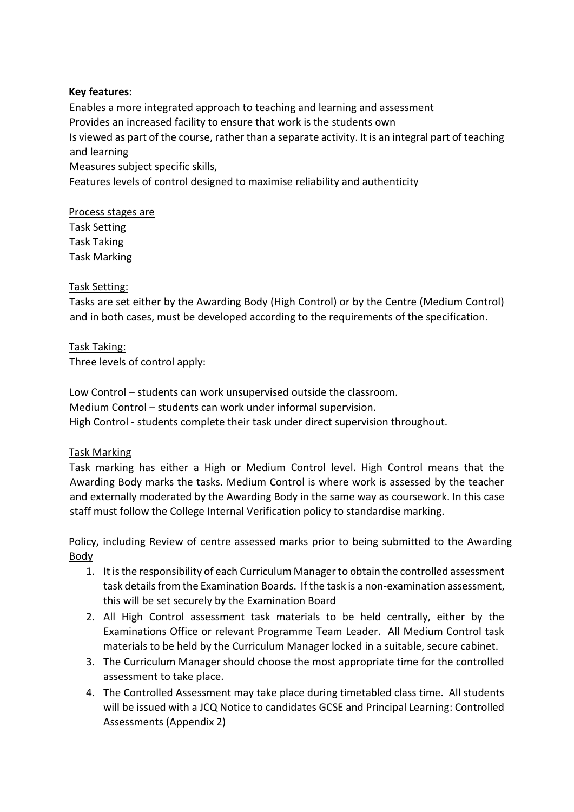## **Key features:**

Enables a more integrated approach to teaching and learning and assessment Provides an increased facility to ensure that work is the students own Is viewed as part of the course, rather than a separate activity. It is an integral part of teaching and learning Measures subject specific skills,

Features levels of control designed to maximise reliability and authenticity

## Process stages are

Task Setting Task Taking Task Marking

## Task Setting:

Tasks are set either by the Awarding Body (High Control) or by the Centre (Medium Control) and in both cases, must be developed according to the requirements of the specification.

## Task Taking:

Three levels of control apply:

Low Control – students can work unsupervised outside the classroom. Medium Control – students can work under informal supervision. High Control - students complete their task under direct supervision throughout.

#### Task Marking

Task marking has either a High or Medium Control level. High Control means that the Awarding Body marks the tasks. Medium Control is where work is assessed by the teacher and externally moderated by the Awarding Body in the same way as coursework. In this case staff must follow the College Internal Verification policy to standardise marking.

## Policy, including Review of centre assessed marks prior to being submitted to the Awarding Body

- 1. It is the responsibility of each Curriculum Manager to obtain the controlled assessment task details from the Examination Boards. If the task is a non-examination assessment, this will be set securely by the Examination Board
- 2. All High Control assessment task materials to be held centrally, either by the Examinations Office or relevant Programme Team Leader. All Medium Control task materials to be held by the Curriculum Manager locked in a suitable, secure cabinet.
- 3. The Curriculum Manager should choose the most appropriate time for the controlled assessment to take place.
- 4. The Controlled Assessment may take place during timetabled class time. All students will be issued with a JCQ Notice to candidates GCSE and Principal Learning: Controlled Assessments (Appendix 2)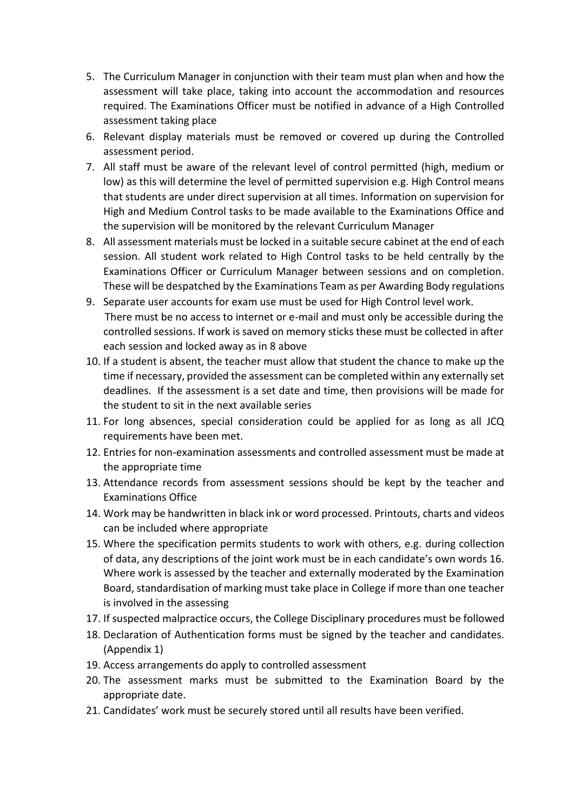- 5. The Curriculum Manager in conjunction with their team must plan when and how the assessment will take place, taking into account the accommodation and resources required. The Examinations Officer must be notified in advance of a High Controlled assessment taking place
- 6. Relevant display materials must be removed or covered up during the Controlled assessment period.
- 7. All staff must be aware of the relevant level of control permitted (high, medium or low) as this will determine the level of permitted supervision e.g. High Control means that students are under direct supervision at all times. Information on supervision for High and Medium Control tasks to be made available to the Examinations Office and the supervision will be monitored by the relevant Curriculum Manager
- 8. All assessment materials must be locked in a suitable secure cabinet at the end of each session. All student work related to High Control tasks to be held centrally by the Examinations Officer or Curriculum Manager between sessions and on completion. These will be despatched by the Examinations Team as per Awarding Body regulations
- 9. Separate user accounts for exam use must be used for High Control level work. There must be no access to internet or e-mail and must only be accessible during the controlled sessions. If work is saved on memory sticks these must be collected in after each session and locked away as in 8 above
- 10. If a student is absent, the teacher must allow that student the chance to make up the time if necessary, provided the assessment can be completed within any externally set deadlines. If the assessment is a set date and time, then provisions will be made for the student to sit in the next available series
- 11. For long absences, special consideration could be applied for as long as all JCQ requirements have been met.
- 12. Entries for non-examination assessments and controlled assessment must be made at the appropriate time
- 13. Attendance records from assessment sessions should be kept by the teacher and Examinations Office
- 14. Work may be handwritten in black ink or word processed. Printouts, charts and videos can be included where appropriate
- 15. Where the specification permits students to work with others, e.g. during collection of data, any descriptions of the joint work must be in each candidate's own words 16. Where work is assessed by the teacher and externally moderated by the Examination Board, standardisation of marking must take place in College if more than one teacher is involved in the assessing
- 17. If suspected malpractice occurs, the College Disciplinary procedures must be followed
- 18. Declaration of Authentication forms must be signed by the teacher and candidates. (Appendix 1)
- 19. Access arrangements do apply to controlled assessment
- 20. The assessment marks must be submitted to the Examination Board by the appropriate date.
- 21. Candidates' work must be securely stored until all results have been verified.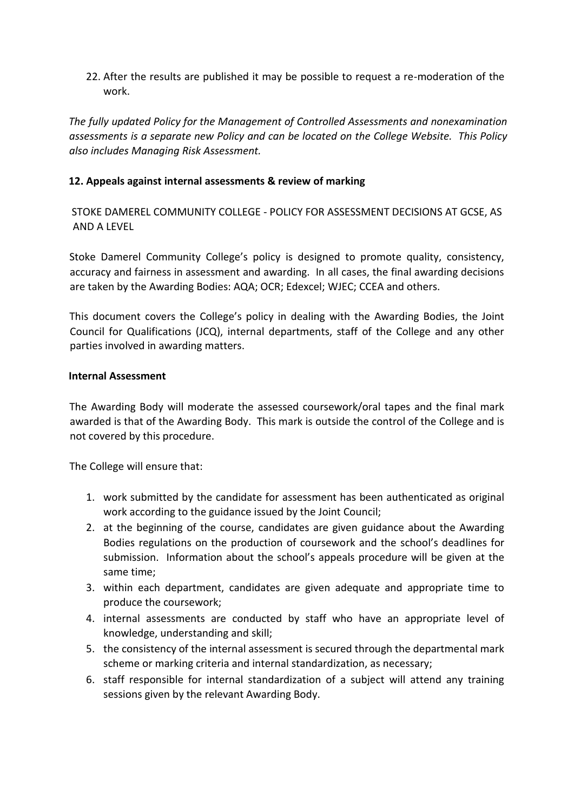22. After the results are published it may be possible to request a re-moderation of the work.

*The fully updated Policy for the Management of Controlled Assessments and nonexamination assessments is a separate new Policy and can be located on the College Website. This Policy also includes Managing Risk Assessment.* 

## **12. Appeals against internal assessments & review of marking**

STOKE DAMEREL COMMUNITY COLLEGE - POLICY FOR ASSESSMENT DECISIONS AT GCSE, AS AND A LEVEL

Stoke Damerel Community College's policy is designed to promote quality, consistency, accuracy and fairness in assessment and awarding. In all cases, the final awarding decisions are taken by the Awarding Bodies: AQA; OCR; Edexcel; WJEC; CCEA and others.

This document covers the College's policy in dealing with the Awarding Bodies, the Joint Council for Qualifications (JCQ), internal departments, staff of the College and any other parties involved in awarding matters.

#### **Internal Assessment**

The Awarding Body will moderate the assessed coursework/oral tapes and the final mark awarded is that of the Awarding Body. This mark is outside the control of the College and is not covered by this procedure.

The College will ensure that:

- 1. work submitted by the candidate for assessment has been authenticated as original work according to the guidance issued by the Joint Council;
- 2. at the beginning of the course, candidates are given guidance about the Awarding Bodies regulations on the production of coursework and the school's deadlines for submission. Information about the school's appeals procedure will be given at the same time;
- 3. within each department, candidates are given adequate and appropriate time to produce the coursework;
- 4. internal assessments are conducted by staff who have an appropriate level of knowledge, understanding and skill;
- 5. the consistency of the internal assessment is secured through the departmental mark scheme or marking criteria and internal standardization, as necessary;
- 6. staff responsible for internal standardization of a subject will attend any training sessions given by the relevant Awarding Body.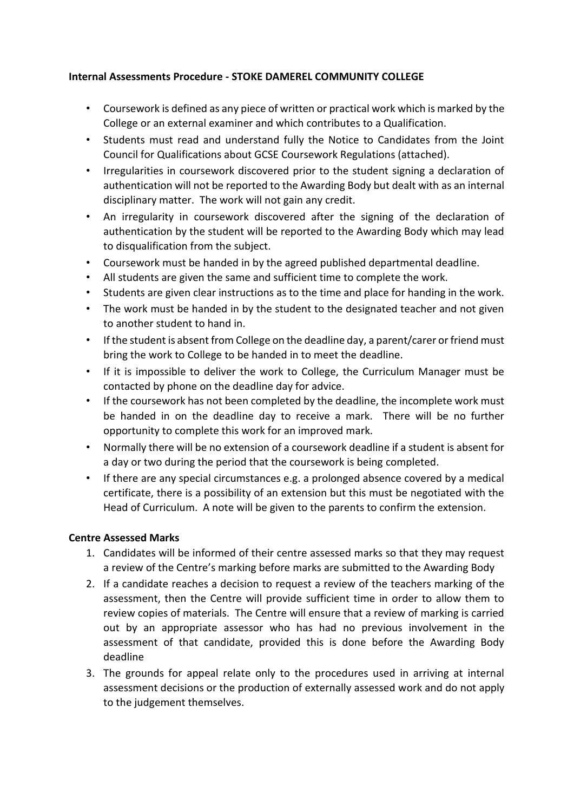## **Internal Assessments Procedure - STOKE DAMEREL COMMUNITY COLLEGE**

- Coursework is defined as any piece of written or practical work which is marked by the College or an external examiner and which contributes to a Qualification.
- Students must read and understand fully the Notice to Candidates from the Joint Council for Qualifications about GCSE Coursework Regulations (attached).
- Irregularities in coursework discovered prior to the student signing a declaration of authentication will not be reported to the Awarding Body but dealt with as an internal disciplinary matter. The work will not gain any credit.
- An irregularity in coursework discovered after the signing of the declaration of authentication by the student will be reported to the Awarding Body which may lead to disqualification from the subject.
- Coursework must be handed in by the agreed published departmental deadline.
- All students are given the same and sufficient time to complete the work.
- Students are given clear instructions as to the time and place for handing in the work.
- The work must be handed in by the student to the designated teacher and not given to another student to hand in.
- If the student is absent from College on the deadline day, a parent/carer or friend must bring the work to College to be handed in to meet the deadline.
- If it is impossible to deliver the work to College, the Curriculum Manager must be contacted by phone on the deadline day for advice.
- If the coursework has not been completed by the deadline, the incomplete work must be handed in on the deadline day to receive a mark. There will be no further opportunity to complete this work for an improved mark.
- Normally there will be no extension of a coursework deadline if a student is absent for a day or two during the period that the coursework is being completed.
- If there are any special circumstances e.g. a prolonged absence covered by a medical certificate, there is a possibility of an extension but this must be negotiated with the Head of Curriculum. A note will be given to the parents to confirm the extension.

## **Centre Assessed Marks**

- 1. Candidates will be informed of their centre assessed marks so that they may request a review of the Centre's marking before marks are submitted to the Awarding Body
- 2. If a candidate reaches a decision to request a review of the teachers marking of the assessment, then the Centre will provide sufficient time in order to allow them to review copies of materials. The Centre will ensure that a review of marking is carried out by an appropriate assessor who has had no previous involvement in the assessment of that candidate, provided this is done before the Awarding Body deadline
- 3. The grounds for appeal relate only to the procedures used in arriving at internal assessment decisions or the production of externally assessed work and do not apply to the judgement themselves.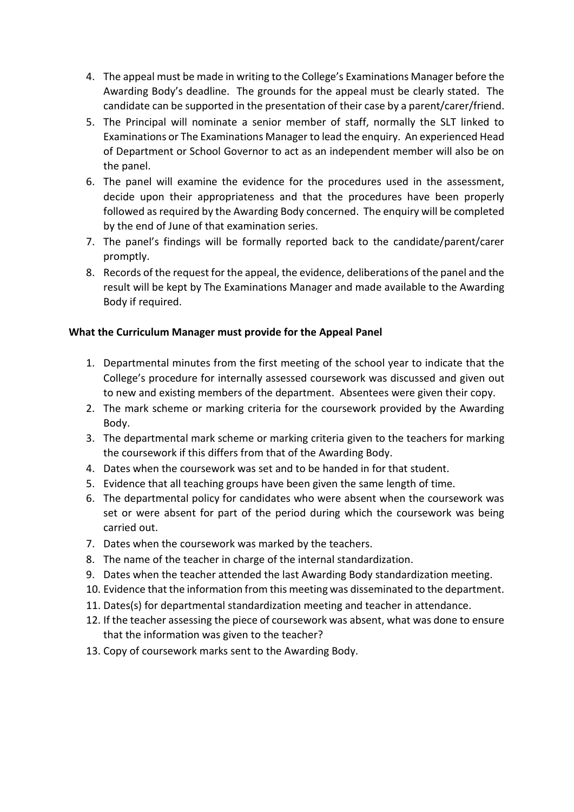- 4. The appeal must be made in writing to the College's Examinations Manager before the Awarding Body's deadline. The grounds for the appeal must be clearly stated. The candidate can be supported in the presentation of their case by a parent/carer/friend.
- 5. The Principal will nominate a senior member of staff, normally the SLT linked to Examinations or The Examinations Manager to lead the enquiry. An experienced Head of Department or School Governor to act as an independent member will also be on the panel.
- 6. The panel will examine the evidence for the procedures used in the assessment, decide upon their appropriateness and that the procedures have been properly followed as required by the Awarding Body concerned. The enquiry will be completed by the end of June of that examination series.
- 7. The panel's findings will be formally reported back to the candidate/parent/carer promptly.
- 8. Records of the request for the appeal, the evidence, deliberations of the panel and the result will be kept by The Examinations Manager and made available to the Awarding Body if required.

## **What the Curriculum Manager must provide for the Appeal Panel**

- 1. Departmental minutes from the first meeting of the school year to indicate that the College's procedure for internally assessed coursework was discussed and given out to new and existing members of the department. Absentees were given their copy.
- 2. The mark scheme or marking criteria for the coursework provided by the Awarding Body.
- 3. The departmental mark scheme or marking criteria given to the teachers for marking the coursework if this differs from that of the Awarding Body.
- 4. Dates when the coursework was set and to be handed in for that student.
- 5. Evidence that all teaching groups have been given the same length of time.
- 6. The departmental policy for candidates who were absent when the coursework was set or were absent for part of the period during which the coursework was being carried out.
- 7. Dates when the coursework was marked by the teachers.
- 8. The name of the teacher in charge of the internal standardization.
- 9. Dates when the teacher attended the last Awarding Body standardization meeting.
- 10. Evidence that the information from this meeting was disseminated to the department.
- 11. Dates(s) for departmental standardization meeting and teacher in attendance.
- 12. If the teacher assessing the piece of coursework was absent, what was done to ensure that the information was given to the teacher?
- 13. Copy of coursework marks sent to the Awarding Body.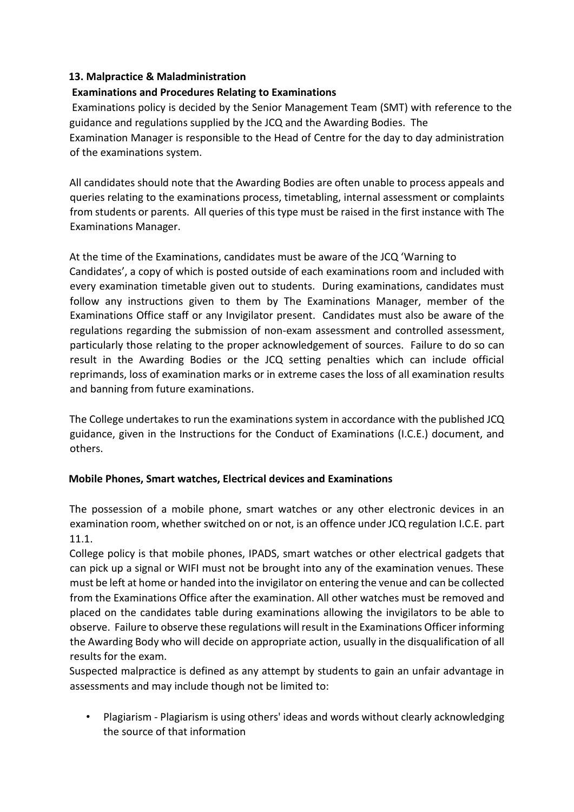## **13. Malpractice & Maladministration**

## **Examinations and Procedures Relating to Examinations**

Examinations policy is decided by the Senior Management Team (SMT) with reference to the guidance and regulations supplied by the JCQ and the Awarding Bodies. The Examination Manager is responsible to the Head of Centre for the day to day administration of the examinations system.

All candidates should note that the Awarding Bodies are often unable to process appeals and queries relating to the examinations process, timetabling, internal assessment or complaints from students or parents. All queries of this type must be raised in the first instance with The Examinations Manager.

At the time of the Examinations, candidates must be aware of the JCQ 'Warning to Candidates', a copy of which is posted outside of each examinations room and included with every examination timetable given out to students. During examinations, candidates must follow any instructions given to them by The Examinations Manager, member of the Examinations Office staff or any Invigilator present. Candidates must also be aware of the regulations regarding the submission of non-exam assessment and controlled assessment, particularly those relating to the proper acknowledgement of sources. Failure to do so can result in the Awarding Bodies or the JCQ setting penalties which can include official reprimands, loss of examination marks or in extreme cases the loss of all examination results and banning from future examinations.

The College undertakes to run the examinations system in accordance with the published JCQ guidance, given in the Instructions for the Conduct of Examinations (I.C.E.) document, and others.

## **Mobile Phones, Smart watches, Electrical devices and Examinations**

The possession of a mobile phone, smart watches or any other electronic devices in an examination room, whether switched on or not, is an offence under JCQ regulation I.C.E. part 11.1.

College policy is that mobile phones, IPADS, smart watches or other electrical gadgets that can pick up a signal or WIFI must not be brought into any of the examination venues. These must be left at home or handed into the invigilator on entering the venue and can be collected from the Examinations Office after the examination. All other watches must be removed and placed on the candidates table during examinations allowing the invigilators to be able to observe. Failure to observe these regulations will result in the Examinations Officer informing the Awarding Body who will decide on appropriate action, usually in the disqualification of all results for the exam.

Suspected malpractice is defined as any attempt by students to gain an unfair advantage in assessments and may include though not be limited to:

• Plagiarism - Plagiarism is using others' ideas and words without clearly acknowledging the source of that information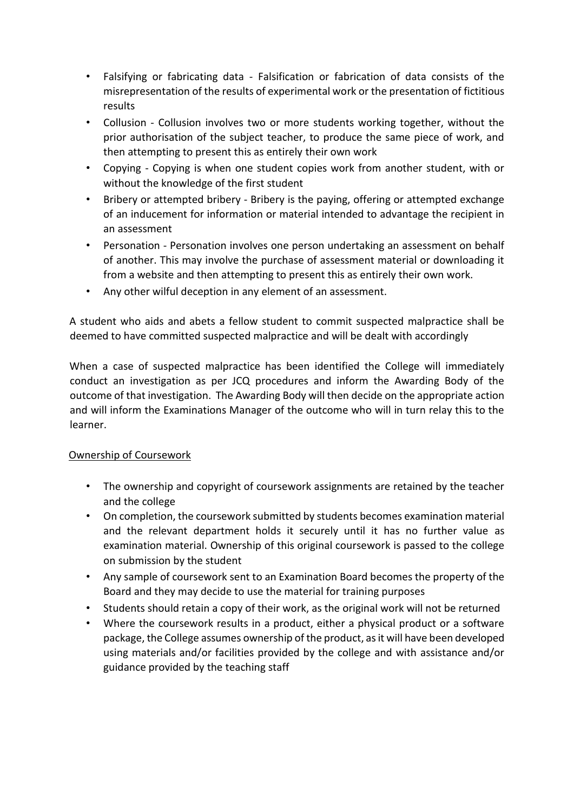- Falsifying or fabricating data Falsification or fabrication of data consists of the misrepresentation of the results of experimental work or the presentation of fictitious results
- Collusion Collusion involves two or more students working together, without the prior authorisation of the subject teacher, to produce the same piece of work, and then attempting to present this as entirely their own work
- Copying Copying is when one student copies work from another student, with or without the knowledge of the first student
- Bribery or attempted bribery Bribery is the paying, offering or attempted exchange of an inducement for information or material intended to advantage the recipient in an assessment
- Personation Personation involves one person undertaking an assessment on behalf of another. This may involve the purchase of assessment material or downloading it from a website and then attempting to present this as entirely their own work.
- Any other wilful deception in any element of an assessment.

A student who aids and abets a fellow student to commit suspected malpractice shall be deemed to have committed suspected malpractice and will be dealt with accordingly

When a case of suspected malpractice has been identified the College will immediately conduct an investigation as per JCQ procedures and inform the Awarding Body of the outcome of that investigation. The Awarding Body will then decide on the appropriate action and will inform the Examinations Manager of the outcome who will in turn relay this to the learner.

## Ownership of Coursework

- The ownership and copyright of coursework assignments are retained by the teacher and the college
- On completion, the coursework submitted by students becomes examination material and the relevant department holds it securely until it has no further value as examination material. Ownership of this original coursework is passed to the college on submission by the student
- Any sample of coursework sent to an Examination Board becomes the property of the Board and they may decide to use the material for training purposes
- Students should retain a copy of their work, as the original work will not be returned
- Where the coursework results in a product, either a physical product or a software package, the College assumes ownership of the product, as it will have been developed using materials and/or facilities provided by the college and with assistance and/or guidance provided by the teaching staff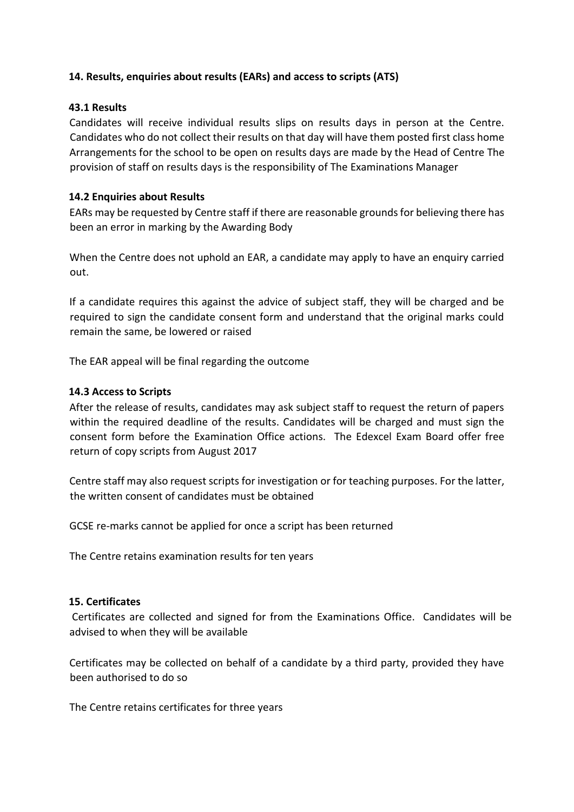## **14. Results, enquiries about results (EARs) and access to scripts (ATS)**

## **43.1 Results**

Candidates will receive individual results slips on results days in person at the Centre. Candidates who do not collect their results on that day will have them posted first class home Arrangements for the school to be open on results days are made by the Head of Centre The provision of staff on results days is the responsibility of The Examinations Manager

## **14.2 Enquiries about Results**

EARs may be requested by Centre staff if there are reasonable grounds for believing there has been an error in marking by the Awarding Body

When the Centre does not uphold an EAR, a candidate may apply to have an enquiry carried out.

If a candidate requires this against the advice of subject staff, they will be charged and be required to sign the candidate consent form and understand that the original marks could remain the same, be lowered or raised

The EAR appeal will be final regarding the outcome

## **14.3 Access to Scripts**

After the release of results, candidates may ask subject staff to request the return of papers within the required deadline of the results. Candidates will be charged and must sign the consent form before the Examination Office actions. The Edexcel Exam Board offer free return of copy scripts from August 2017

Centre staff may also request scripts for investigation or for teaching purposes. For the latter, the written consent of candidates must be obtained

GCSE re-marks cannot be applied for once a script has been returned

The Centre retains examination results for ten years

#### **15. Certificates**

Certificates are collected and signed for from the Examinations Office. Candidates will be advised to when they will be available

Certificates may be collected on behalf of a candidate by a third party, provided they have been authorised to do so

The Centre retains certificates for three years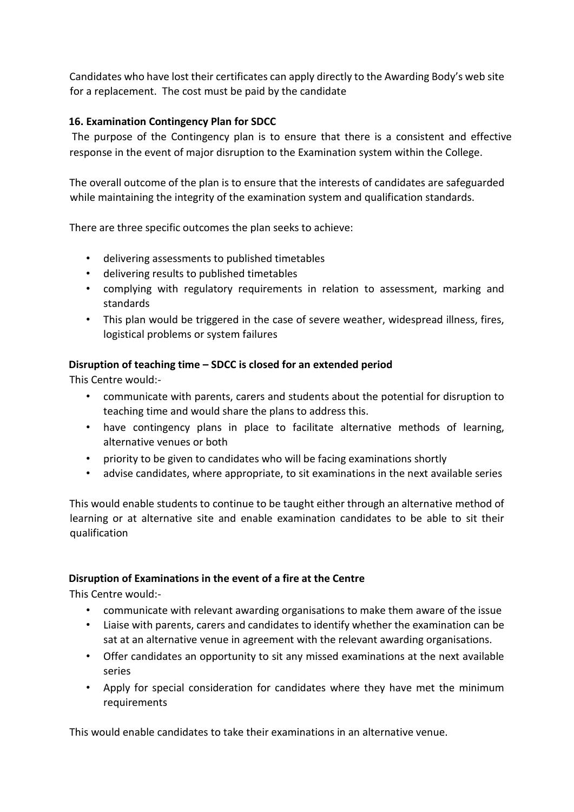Candidates who have lost their certificates can apply directly to the Awarding Body's web site for a replacement. The cost must be paid by the candidate

## **16. Examination Contingency Plan for SDCC**

The purpose of the Contingency plan is to ensure that there is a consistent and effective response in the event of major disruption to the Examination system within the College.

The overall outcome of the plan is to ensure that the interests of candidates are safeguarded while maintaining the integrity of the examination system and qualification standards.

There are three specific outcomes the plan seeks to achieve:

- delivering assessments to published timetables
- delivering results to published timetables
- complying with regulatory requirements in relation to assessment, marking and standards
- This plan would be triggered in the case of severe weather, widespread illness, fires, logistical problems or system failures

## **Disruption of teaching time – SDCC is closed for an extended period**

This Centre would:-

- communicate with parents, carers and students about the potential for disruption to teaching time and would share the plans to address this.
- have contingency plans in place to facilitate alternative methods of learning, alternative venues or both
- priority to be given to candidates who will be facing examinations shortly
- advise candidates, where appropriate, to sit examinations in the next available series

This would enable students to continue to be taught either through an alternative method of learning or at alternative site and enable examination candidates to be able to sit their qualification

#### **Disruption of Examinations in the event of a fire at the Centre**

This Centre would:-

- communicate with relevant awarding organisations to make them aware of the issue
- Liaise with parents, carers and candidates to identify whether the examination can be sat at an alternative venue in agreement with the relevant awarding organisations.
- Offer candidates an opportunity to sit any missed examinations at the next available series
- Apply for special consideration for candidates where they have met the minimum requirements

This would enable candidates to take their examinations in an alternative venue.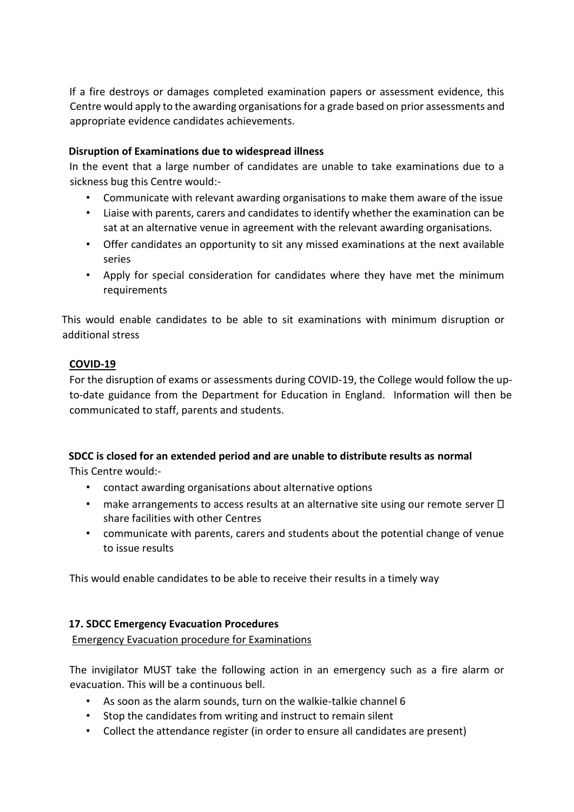If a fire destroys or damages completed examination papers or assessment evidence, this Centre would apply to the awarding organisations for a grade based on prior assessments and appropriate evidence candidates achievements.

## **Disruption of Examinations due to widespread illness**

In the event that a large number of candidates are unable to take examinations due to a sickness bug this Centre would:-

- Communicate with relevant awarding organisations to make them aware of the issue
- Liaise with parents, carers and candidates to identify whether the examination can be sat at an alternative venue in agreement with the relevant awarding organisations.
- Offer candidates an opportunity to sit any missed examinations at the next available series
- Apply for special consideration for candidates where they have met the minimum requirements

This would enable candidates to be able to sit examinations with minimum disruption or additional stress

# **COVID-19**

For the disruption of exams or assessments during COVID-19, the College would follow the upto-date guidance from the Department for Education in England. Information will then be communicated to staff, parents and students.

#### **SDCC is closed for an extended period and are unable to distribute results as normal** This Centre would:-

- contact awarding organisations about alternative options
- make arrangements to access results at an alternative site using our remote server  $\Box$ share facilities with other Centres
- communicate with parents, carers and students about the potential change of venue to issue results

This would enable candidates to be able to receive their results in a timely way

# **17. SDCC Emergency Evacuation Procedures**

Emergency Evacuation procedure for Examinations

The invigilator MUST take the following action in an emergency such as a fire alarm or evacuation. This will be a continuous bell.

- As soon as the alarm sounds, turn on the walkie-talkie channel 6
- Stop the candidates from writing and instruct to remain silent
- Collect the attendance register (in order to ensure all candidates are present)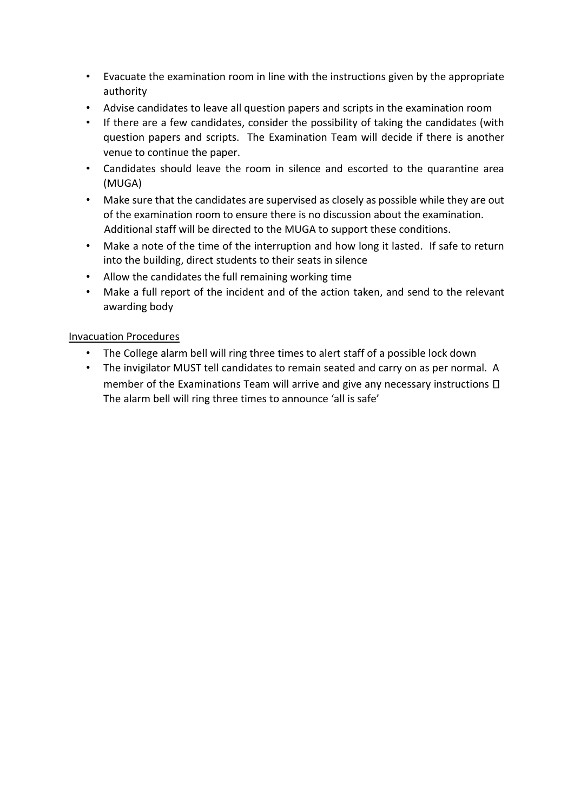- Evacuate the examination room in line with the instructions given by the appropriate authority
- Advise candidates to leave all question papers and scripts in the examination room
- If there are a few candidates, consider the possibility of taking the candidates (with question papers and scripts. The Examination Team will decide if there is another venue to continue the paper.
- Candidates should leave the room in silence and escorted to the quarantine area (MUGA)
- Make sure that the candidates are supervised as closely as possible while they are out of the examination room to ensure there is no discussion about the examination. Additional staff will be directed to the MUGA to support these conditions.
- Make a note of the time of the interruption and how long it lasted. If safe to return into the building, direct students to their seats in silence
- Allow the candidates the full remaining working time
- Make a full report of the incident and of the action taken, and send to the relevant awarding body

## Invacuation Procedures

- The College alarm bell will ring three times to alert staff of a possible lock down
- The invigilator MUST tell candidates to remain seated and carry on as per normal. A member of the Examinations Team will arrive and give any necessary instructions  $\Box$ The alarm bell will ring three times to announce 'all is safe'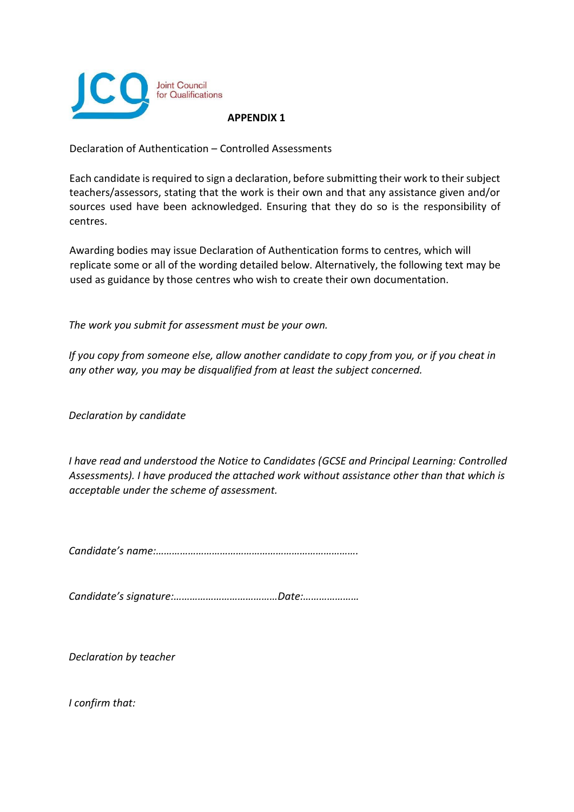

Declaration of Authentication – Controlled Assessments

Each candidate is required to sign a declaration, before submitting their work to their subject teachers/assessors, stating that the work is their own and that any assistance given and/or sources used have been acknowledged. Ensuring that they do so is the responsibility of centres.

Awarding bodies may issue Declaration of Authentication forms to centres, which will replicate some or all of the wording detailed below. Alternatively, the following text may be used as guidance by those centres who wish to create their own documentation.

*The work you submit for assessment must be your own.* 

*If you copy from someone else, allow another candidate to copy from you, or if you cheat in any other way, you may be disqualified from at least the subject concerned.* 

*Declaration by candidate* 

*I have read and understood the Notice to Candidates (GCSE and Principal Learning: Controlled Assessments). I have produced the attached work without assistance other than that which is acceptable under the scheme of assessment.* 

*Candidate's name:………………………………………………………………….* 

*Candidate's signature:…………………………………Date:…………………* 

*Declaration by teacher* 

*I confirm that:*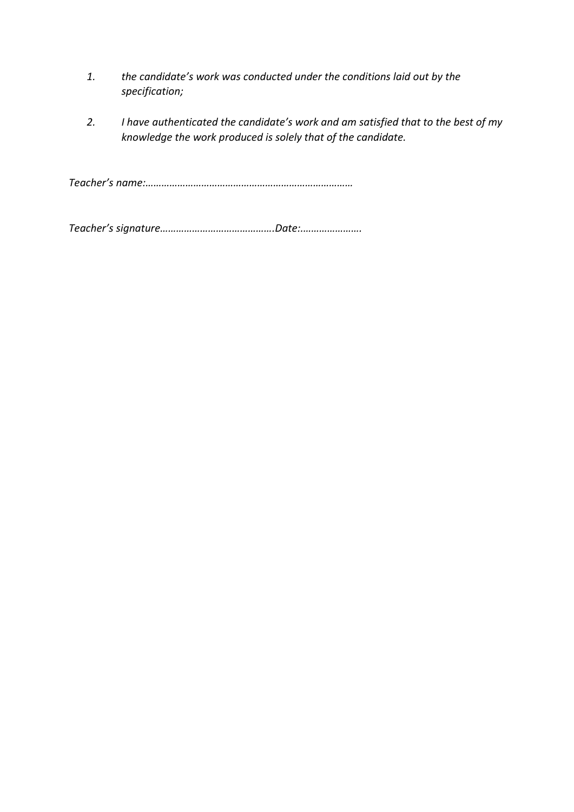- *1. the candidate's work was conducted under the conditions laid out by the specification;*
- *2. I have authenticated the candidate's work and am satisfied that to the best of my knowledge the work produced is solely that of the candidate.*

*Teacher's name:……………………………………………………………………* 

*Teacher's signature…………………………………….Date:.………………….*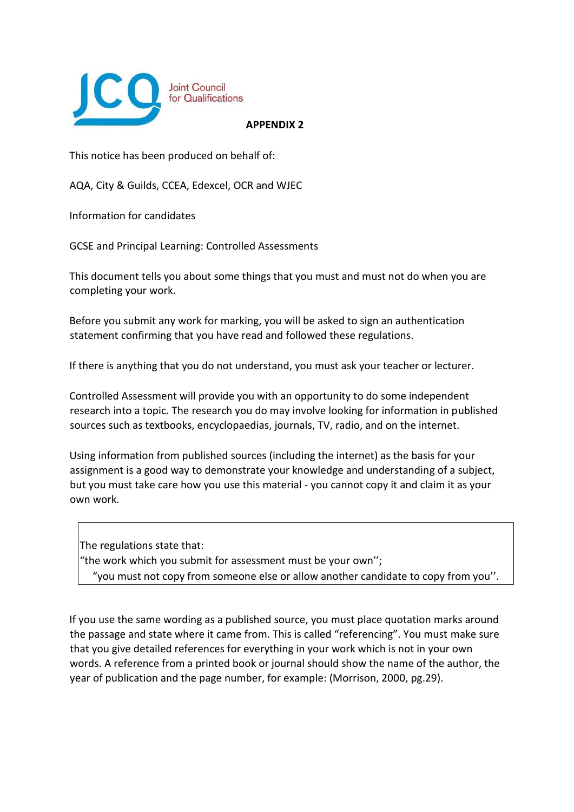

This notice has been produced on behalf of:

AQA, City & Guilds, CCEA, Edexcel, OCR and WJEC

Information for candidates

GCSE and Principal Learning: Controlled Assessments

This document tells you about some things that you must and must not do when you are completing your work.

Before you submit any work for marking, you will be asked to sign an authentication statement confirming that you have read and followed these regulations.

If there is anything that you do not understand, you must ask your teacher or lecturer.

Controlled Assessment will provide you with an opportunity to do some independent research into a topic. The research you do may involve looking for information in published sources such as textbooks, encyclopaedias, journals, TV, radio, and on the internet.

Using information from published sources (including the internet) as the basis for your assignment is a good way to demonstrate your knowledge and understanding of a subject, but you must take care how you use this material - you cannot copy it and claim it as your own work.

The regulations state that: "the work which you submit for assessment must be your own''; "you must not copy from someone else or allow another candidate to copy from you''.

If you use the same wording as a published source, you must place quotation marks around the passage and state where it came from. This is called "referencing". You must make sure that you give detailed references for everything in your work which is not in your own words. A reference from a printed book or journal should show the name of the author, the year of publication and the page number, for example: (Morrison, 2000, pg.29).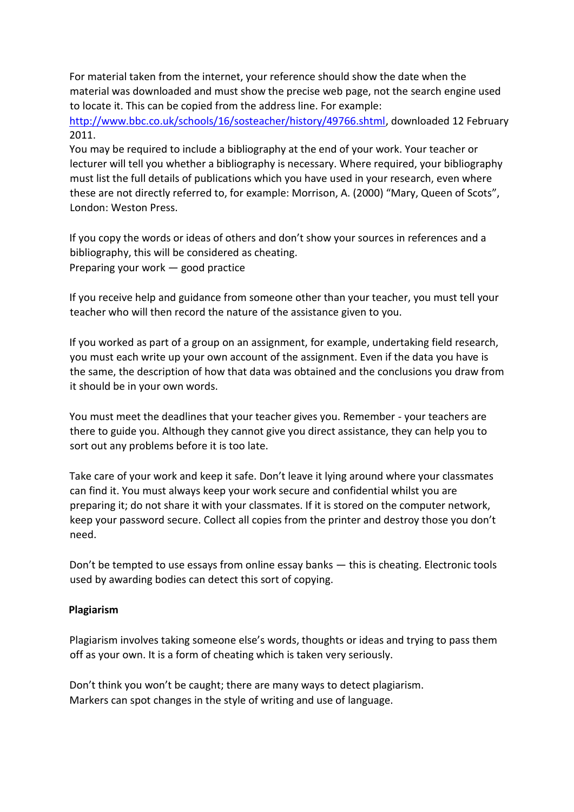For material taken from the internet, your reference should show the date when the material was downloaded and must show the precise web page, not the search engine used to locate it. This can be copied from the address line. For example:

[http://www.bbc.co.uk/schools/16/sosteacher/history/49766.shtml,](http://www.bbc.co.uk/schools/16/sosteacher/history/49766.shtml) downloaded 12 February 2011.

You may be required to include a bibliography at the end of your work. Your teacher or lecturer will tell you whether a bibliography is necessary. Where required, your bibliography must list the full details of publications which you have used in your research, even where these are not directly referred to, for example: Morrison, A. (2000) "Mary, Queen of Scots", London: Weston Press.

If you copy the words or ideas of others and don't show your sources in references and a bibliography, this will be considered as cheating. Preparing your work — good practice

If you receive help and guidance from someone other than your teacher, you must tell your teacher who will then record the nature of the assistance given to you.

If you worked as part of a group on an assignment, for example, undertaking field research, you must each write up your own account of the assignment. Even if the data you have is the same, the description of how that data was obtained and the conclusions you draw from it should be in your own words.

You must meet the deadlines that your teacher gives you. Remember - your teachers are there to guide you. Although they cannot give you direct assistance, they can help you to sort out any problems before it is too late.

Take care of your work and keep it safe. Don't leave it lying around where your classmates can find it. You must always keep your work secure and confidential whilst you are preparing it; do not share it with your classmates. If it is stored on the computer network, keep your password secure. Collect all copies from the printer and destroy those you don't need.

Don't be tempted to use essays from online essay banks — this is cheating. Electronic tools used by awarding bodies can detect this sort of copying.

## **Plagiarism**

Plagiarism involves taking someone else's words, thoughts or ideas and trying to pass them off as your own. It is a form of cheating which is taken very seriously.

Don't think you won't be caught; there are many ways to detect plagiarism. Markers can spot changes in the style of writing and use of language.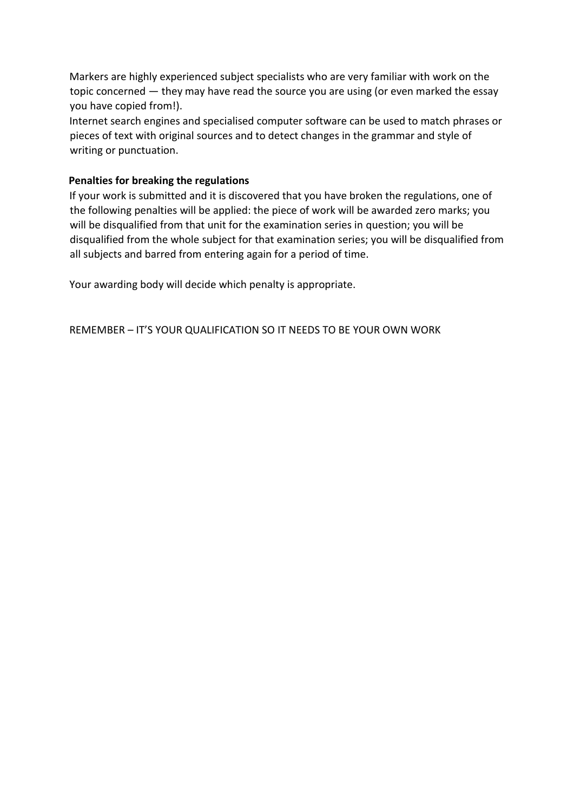Markers are highly experienced subject specialists who are very familiar with work on the topic concerned — they may have read the source you are using (or even marked the essay you have copied from!).

Internet search engines and specialised computer software can be used to match phrases or pieces of text with original sources and to detect changes in the grammar and style of writing or punctuation.

## **Penalties for breaking the regulations**

If your work is submitted and it is discovered that you have broken the regulations, one of the following penalties will be applied: the piece of work will be awarded zero marks; you will be disqualified from that unit for the examination series in question; you will be disqualified from the whole subject for that examination series; you will be disqualified from all subjects and barred from entering again for a period of time.

Your awarding body will decide which penalty is appropriate.

REMEMBER – IT'S YOUR QUALIFICATION SO IT NEEDS TO BE YOUR OWN WORK